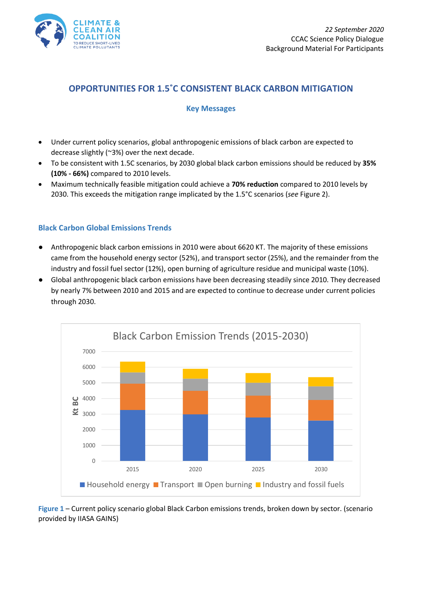

# **OPPORTUNITIES FOR 1.5˚C CONSISTENT BLACK CARBON MITIGATION**

## **Key Messages**

- Under current policy scenarios, global anthropogenic emissions of black carbon are expected to decrease slightly (~3%) over the next decade.
- To be consistent with 1.5C scenarios, by 2030 global black carbon emissions should be reduced by **35% (10% - 66%)** compared to 2010 levels.
- Maximum technically feasible mitigation could achieve a **70% reduction** compared to 2010 levels by 2030. This exceeds the mitigation range implicated by the 1.5°C scenarios (*see* Figure 2).

## **Black Carbon Global Emissions Trends**

- Anthropogenic black carbon emissions in 2010 were about 6620 KT. The majority of these emissions came from the household energy sector (52%), and transport sector (25%), and the remainder from the industry and fossil fuel sector (12%), open burning of agriculture residue and municipal waste (10%).
- Global anthropogenic black carbon emissions have been decreasing steadily since 2010. They decreased by nearly 7% between 2010 and 2015 and are expected to continue to decrease under current policies through 2030.



**Figure 1** – Current policy scenario global Black Carbon emissions trends, broken down by sector. (scenario provided by IIASA GAINS)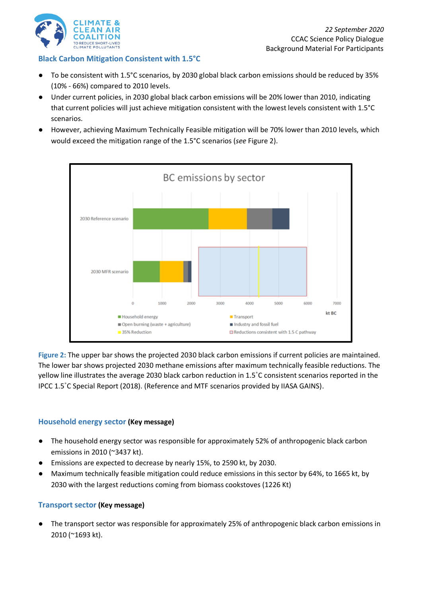

## **Black Carbon Mitigation Consistent with 1.5°C**

- To be consistent with 1.5°C scenarios, by 2030 global black carbon emissions should be reduced by 35% (10% - 66%) compared to 2010 levels.
- Under current policies, in 2030 global black carbon emissions will be 20% lower than 2010, indicating that current policies will just achieve mitigation consistent with the lowest levels consistent with 1.5°C scenarios.
- However, achieving Maximum Technically Feasible mitigation will be 70% lower than 2010 levels, which would exceed the mitigation range of the 1.5°C scenarios (*see* Figure 2).



**Figure 2:** The upper bar shows the projected 2030 black carbon emissions if current policies are maintained. The lower bar shows projected 2030 methane emissions after maximum technically feasible reductions. The yellow line illustrates the average 2030 black carbon reduction in 1.5˚C consistent scenarios reported in the IPCC 1.5˚C Special Report (2018). (Reference and MTF scenarios provided by IIASA GAINS).

### **Household energy sector (Key message)**

- The household energy sector was responsible for approximately 52% of anthropogenic black carbon emissions in 2010 (~3437 kt).
- Emissions are expected to decrease by nearly 15%, to 2590 kt, by 2030.
- Maximum technically feasible mitigation could reduce emissions in this sector by 64%, to 1665 kt, by 2030 with the largest reductions coming from biomass cookstoves (1226 Kt)

### **Transport sector (Key message)**

The transport sector was responsible for approximately 25% of anthropogenic black carbon emissions in 2010 (~1693 kt).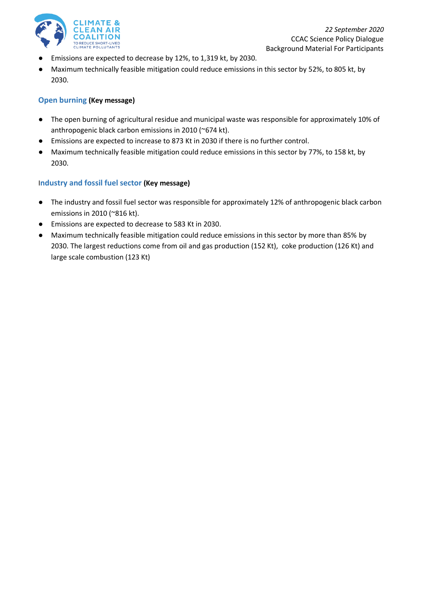

- Emissions are expected to decrease by 12%, to 1,319 kt, by 2030.
- Maximum technically feasible mitigation could reduce emissions in this sector by 52%, to 805 kt, by 2030.

#### **Open burning (Key message)**

- The open burning of agricultural residue and municipal waste was responsible for approximately 10% of anthropogenic black carbon emissions in 2010 (~674 kt).
- Emissions are expected to increase to 873 Kt in 2030 if there is no further control.
- Maximum technically feasible mitigation could reduce emissions in this sector by 77%, to 158 kt, by 2030.

### I**ndustry and fossil fuel sector (Key message)**

- The industry and fossil fuel sector was responsible for approximately 12% of anthropogenic black carbon emissions in 2010 (~816 kt).
- Emissions are expected to decrease to 583 Kt in 2030.
- Maximum technically feasible mitigation could reduce emissions in this sector by more than 85% by 2030. The largest reductions come from oil and gas production (152 Kt), coke production (126 Kt) and large scale combustion (123 Kt)